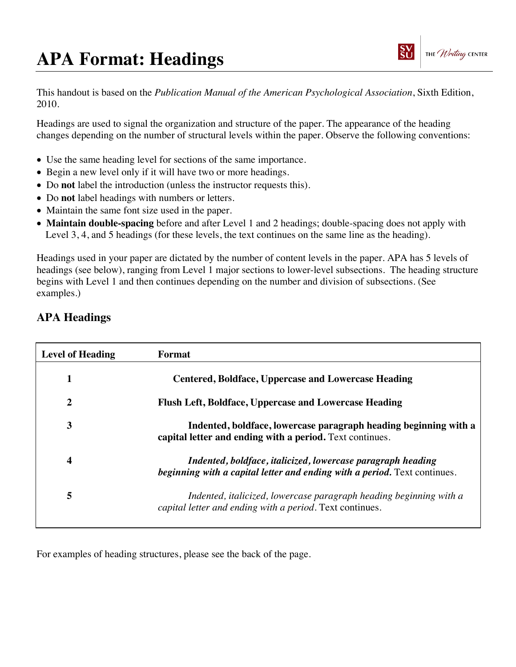## **APA Format: Headings**



This handout is based on the *Publication Manual of the American Psychological Association*, Sixth Edition, 2010.

Headings are used to signal the organization and structure of the paper. The appearance of the heading changes depending on the number of structural levels within the paper. Observe the following conventions:

- Use the same heading level for sections of the same importance.
- Begin a new level only if it will have two or more headings.
- Do **not** label the introduction (unless the instructor requests this).
- Do **not** label headings with numbers or letters.
- Maintain the same font size used in the paper.
- **Maintain double-spacing** before and after Level 1 and 2 headings; double-spacing does not apply with Level 3, 4, and 5 headings (for these levels, the text continues on the same line as the heading).

Headings used in your paper are dictated by the number of content levels in the paper. APA has 5 levels of headings (see below), ranging from Level 1 major sections to lower-level subsections. The heading structure begins with Level 1 and then continues depending on the number and division of subsections. (See examples.)

## **APA Headings**

| <b>Level of Heading</b> | Format                                                                                                                                   |
|-------------------------|------------------------------------------------------------------------------------------------------------------------------------------|
| 1                       | <b>Centered, Boldface, Uppercase and Lowercase Heading</b>                                                                               |
| 2                       | Flush Left, Boldface, Uppercase and Lowercase Heading                                                                                    |
| 3                       | Indented, boldface, lowercase paragraph heading beginning with a<br>capital letter and ending with a period. Text continues.             |
| 4                       | Indented, boldface, italicized, lowercase paragraph heading<br>beginning with a capital letter and ending with a period. Text continues. |
| 5                       | Indented, italicized, lowercase paragraph heading beginning with a<br>capital letter and ending with a period. Text continues.           |

For examples of heading structures, please see the back of the page.